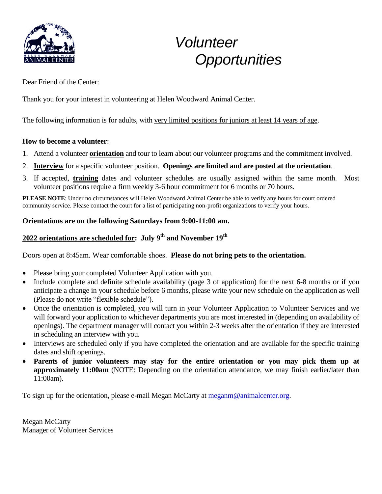

# *Volunteer Opportunities*

Dear Friend of the Center:

Thank you for your interest in volunteering at Helen Woodward Animal Center.

The following information is for adults, with very limited positions for juniors at least 14 years of age.

#### **How to become a volunteer**:

- 1. Attend a volunteer **orientation** and tour to learn about our volunteer programs and the commitment involved.
- 2. **Interview** for a specific volunteer position. **Openings are limited and are posted at the orientation**.
- 3. If accepted, **training** dates and volunteer schedules are usually assigned within the same month. Most volunteer positions require a firm weekly 3-6 hour commitment for 6 months or 70 hours.

**PLEASE NOTE**: Under no circumstances will Helen Woodward Animal Center be able to verify any hours for court ordered community service. Please contact the court for a list of participating non-profit organizations to verify your hours.

#### **Orientations are on the following Saturdays from 9:00-11:00 am.**

## **2022 orientations are scheduled for: July 9th and November 19th**

Doors open at 8:45am. Wear comfortable shoes. **Please do not bring pets to the orientation.**

- Please bring your completed Volunteer Application with you.
- Include complete and definite schedule availability (page 3 of application) for the next 6-8 months or if you anticipate a change in your schedule before 6 months, please write your new schedule on the application as well (Please do not write "flexible schedule").
- Once the orientation is completed, you will turn in your Volunteer Application to Volunteer Services and we will forward your application to whichever departments you are most interested in (depending on availability of openings). The department manager will contact you within 2-3 weeks after the orientation if they are interested in scheduling an interview with you.
- Interviews are scheduled only if you have completed the orientation and are available for the specific training dates and shift openings.
- **Parents of junior volunteers may stay for the entire orientation or you may pick them up at approximately 11:00am** (NOTE: Depending on the orientation attendance, we may finish earlier/later than 11:00am).

To sign up for the orientation, please e-mail Megan McCarty at [meganm@animalcenter.org.](mailto:meganm@animalcenter.org)

Megan McCarty Manager of Volunteer Services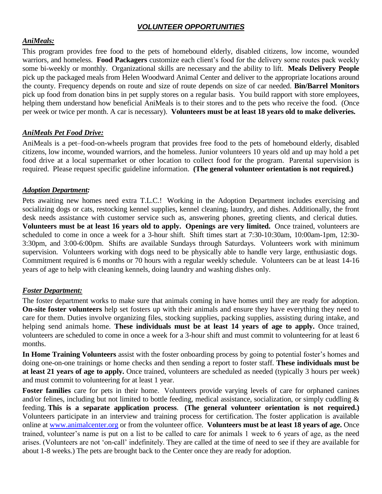## *VOLUNTEER OPPORTUNITIES*

#### *AniMeals:*

This program provides free food to the pets of homebound elderly, disabled citizens, low income, wounded warriors, and homeless. **Food Packagers** customize each client's food for the delivery some routes pack weekly some bi-weekly or monthly. Organizational skills are necessary and the ability to lift. **Meals Delivery People**  pick up the packaged meals from Helen Woodward Animal Center and deliver to the appropriate locations around the county. Frequency depends on route and size of route depends on size of car needed. **Bin/Barrel Monitors** pick up food from donation bins in pet supply stores on a regular basis. You build rapport with store employees, helping them understand how beneficial AniMeals is to their stores and to the pets who receive the food. (Once per week or twice per month. A car is necessary). **Volunteers must be at least 18 years old to make deliveries.**

#### *AniMeals Pet Food Drive:*

AniMeals is a pet–food-on-wheels program that provides free food to the pets of homebound elderly, disabled citizens, low income, wounded warriors, and the homeless. Junior volunteers 10 years old and up may hold a pet food drive at a local supermarket or other location to collect food for the program. Parental supervision is required. Please request specific guideline information. **(The general volunteer orientation is not required.)** 

#### *Adoption Department:*

Pets awaiting new homes need extra T.L.C.! Working in the Adoption Department includes exercising and socializing dogs or cats, restocking kennel supplies, kennel cleaning, laundry, and dishes. Additionally, the front desk needs assistance with customer service such as, answering phones, greeting clients, and clerical duties. **Volunteers must be at least 16 years old to apply. Openings are very limited.** Once trained, volunteers are scheduled to come in once a week for a 3-hour shift. Shift times start at 7:30-10:30am, 10:00am-1pm, 12:30- 3:30pm, and 3:00-6:00pm. Shifts are available Sundays through Saturdays. Volunteers work with minimum supervision. Volunteers working with dogs need to be physically able to handle very large, enthusiastic dogs. Commitment required is 6 months or 70 hours with a regular weekly schedule. Volunteers can be at least 14-16 years of age to help with cleaning kennels, doing laundry and washing dishes only.

#### *Foster Department:*

The foster department works to make sure that animals coming in have homes until they are ready for adoption. **On-site foster volunteers** help set fosters up with their animals and ensure they have everything they need to care for them. Duties involve organizing files, stocking supplies, packing supplies, assisting during intake, and helping send animals home. **These individuals must be at least 14 years of age to apply.** Once trained, volunteers are scheduled to come in once a week for a 3-hour shift and must commit to volunteering for at least 6 months.

**In Home Training Volunteers** assist with the foster onboarding process by going to potential foster's homes and doing one-on-one trainings or home checks and then sending a report to foster staff. **These individuals must be at least 21 years of age to apply.** Once trained, volunteers are scheduled as needed (typically 3 hours per week) and must commit to volunteering for at least 1 year.

**Foster families** care for pets in their home. Volunteers provide varying levels of care for orphaned canines and/or felines, including but not limited to bottle feeding, medical assistance, socialization, or simply cuddling & feeding. **This is a separate application process**. **(The general volunteer orientation is not required.)**  Volunteers participate in an interview and training process for certification. The foster application is available online at [www.animalcenter.org](http://www.animalcenter.org/) or from the volunteer office. **Volunteers must be at least 18 years of age.** Once trained, volunteer's name is put on a list to be called to care for animals 1 week to 6 years of age, as the need arises. (Volunteers are not 'on-call' indefinitely. They are called at the time of need to see if they are available for about 1-8 weeks.) The pets are brought back to the Center once they are ready for adoption.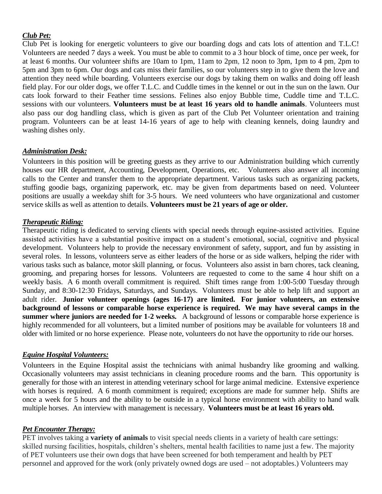#### *Club Pet:*

Club Pet is looking for energetic volunteers to give our boarding dogs and cats lots of attention and T.L.C! Volunteers are needed 7 days a week. You must be able to commit to a 3 hour block of time, once per week, for at least 6 months. Our volunteer shifts are 10am to 1pm, 11am to 2pm, 12 noon to 3pm, 1pm to 4 pm, 2pm to 5pm and 3pm to 6pm. Our dogs and cats miss their families, so our volunteers step in to give them the love and attention they need while boarding. Volunteers exercise our dogs by taking them on walks and doing off leash field play. For our older dogs, we offer T.L.C. and Cuddle times in the kennel or out in the sun on the lawn. Our cats look forward to their Feather time sessions. Felines also enjoy Bubble time, Cuddle time and T.L.C. sessions with our volunteers. **Volunteers must be at least 16 years old to handle animals**. Volunteers must also pass our dog handling class, which is given as part of the Club Pet Volunteer orientation and training program. Volunteers can be at least 14-16 years of age to help with cleaning kennels, doing laundry and washing dishes only.

#### *Administration Desk:*

Volunteers in this position will be greeting guests as they arrive to our Administration building which currently houses our HR department, Accounting, Development, Operations, etc. Volunteers also answer all incoming calls to the Center and transfer them to the appropriate department. Various tasks such as organizing packets, stuffing goodie bags, organizing paperwork, etc. may be given from departments based on need. Volunteer positions are usually a weekday shift for 3-5 hours. We need volunteers who have organizational and customer service skills as well as attention to details. **Volunteers must be 21 years of age or older.** 

#### *Therapeutic Riding:*

Therapeutic riding is dedicated to serving clients with special needs through equine-assisted activities. Equine assisted activities have a substantial positive impact on a student's emotional, social, cognitive and physical development. Volunteers help to provide the necessary environment of safety, support, and fun by assisting in several roles. In lessons, volunteers serve as either leaders of the horse or as side walkers, helping the rider with various tasks such as balance, motor skill planning, or focus. Volunteers also assist in barn chores, tack cleaning, grooming, and preparing horses for lessons. Volunteers are requested to come to the same 4 hour shift on a weekly basis. A 6 month overall commitment is required. Shift times range from 1:00-5:00 Tuesday through Sunday, and 8:30-12:30 Fridays, Saturdays, and Sundays. Volunteers must be able to help lift and support an adult rider. **Junior volunteer openings (ages 16-17) are limited. For junior volunteers, an extensive background of lessons or comparable horse experience is required. We may have several camps in the summer where juniors are needed for 1-2 weeks.** A background of lessons or comparable horse experience is highly recommended for all volunteers, but a limited number of positions may be available for volunteers 18 and older with limited or no horse experience. Please note, volunteers do not have the opportunity to ride our horses.

#### *Equine Hospital Volunteers:*

Volunteers in the Equine Hospital assist the technicians with animal husbandry like grooming and walking. Occasionally volunteers may assist technicians in cleaning procedure rooms and the barn. This opportunity is generally for those with an interest in attending veterinary school for large animal medicine. Extensive experience with horses is required. A 6 month commitment is required; exceptions are made for summer help. Shifts are once a week for 5 hours and the ability to be outside in a typical horse environment with ability to hand walk multiple horses. An interview with management is necessary. **Volunteers must be at least 16 years old.**

#### *Pet Encounter Therapy:*

PET involves taking a **variety of animals** to visit special needs clients in a variety of health care settings: skilled nursing facilities, hospitals, children's shelters, mental health facilities to name just a few. The majority of PET volunteers use their own dogs that have been screened for both temperament and health by PET personnel and approved for the work (only privately owned dogs are used – not adoptables.) Volunteers may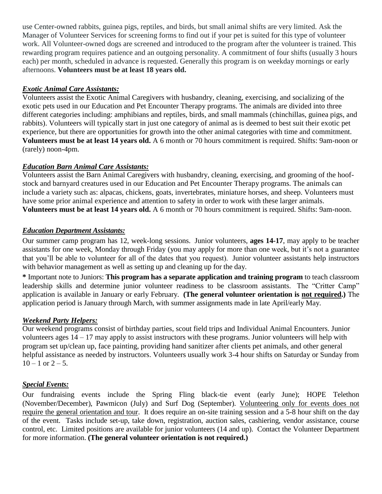use Center-owned rabbits, guinea pigs, reptiles, and birds, but small animal shifts are very limited. Ask the Manager of Volunteer Services for screening forms to find out if your pet is suited for this type of volunteer work. All Volunteer-owned dogs are screened and introduced to the program after the volunteer is trained. This rewarding program requires patience and an outgoing personality. A commitment of four shifts (usually 3 hours each) per month, scheduled in advance is requested. Generally this program is on weekday mornings or early afternoons. **Volunteers must be at least 18 years old.**

#### *Exotic Animal Care Assistants:*

Volunteers assist the Exotic Animal Caregivers with husbandry, cleaning, exercising, and socializing of the exotic pets used in our Education and Pet Encounter Therapy programs. The animals are divided into three different categories including: amphibians and reptiles, birds, and small mammals (chinchillas, guinea pigs, and rabbits). Volunteers will typically start in just one category of animal as is deemed to best suit their exotic pet experience, but there are opportunities for growth into the other animal categories with time and commitment. **Volunteers must be at least 14 years old.** A 6 month or 70 hours commitment is required. Shifts: 9am-noon or (rarely) noon-4pm.

#### *Education Barn Animal Care Assistants:*

Volunteers assist the Barn Animal Caregivers with husbandry, cleaning, exercising, and grooming of the hoofstock and barnyard creatures used in our Education and Pet Encounter Therapy programs. The animals can include a variety such as: alpacas, chickens, goats, invertebrates, miniature horses, and sheep. Volunteers must have some prior animal experience and attention to safety in order to work with these larger animals. **Volunteers must be at least 14 years old.** A 6 month or 70 hours commitment is required. Shifts: 9am-noon.

#### *Education Department Assistants:*

Our summer camp program has 12, week-long sessions. Junior volunteers, **ages 14-17**, may apply to be teacher assistants for one week, Monday through Friday (you may apply for more than one week, but it's not a guarantee that you'll be able to volunteer for all of the dates that you request). Junior volunteer assistants help instructors with behavior management as well as setting up and cleaning up for the day.

**\*** Important note to Juniors: **This program has a separate application and training program** to teach classroom leadership skills and determine junior volunteer readiness to be classroom assistants. The "Critter Camp" application is available in January or early February. **(The general volunteer orientation is not required.)** The application period is January through March, with summer assignments made in late April/early May.

#### *Weekend Party Helpers:*

Our weekend programs consist of birthday parties, scout field trips and Individual Animal Encounters. Junior volunteers ages 14 – 17 may apply to assist instructors with these programs. Junior volunteers will help with program set up/clean up, face painting, providing hand sanitizer after clients pet animals, and other general helpful assistance as needed by instructors. Volunteers usually work 3-4 hour shifts on Saturday or Sunday from  $10 - 1$  or  $2 - 5$ .

#### *Special Events:*

Our fundraising events include the Spring Fling black-tie event (early June); HOPE Telethon (November/December), Pawmicon (July) and Surf Dog (September). Volunteering only for events does not require the general orientation and tour. It does require an on-site training session and a 5-8 hour shift on the day of the event. Tasks include set-up, take down, registration, auction sales, cashiering, vendor assistance, course control, etc. Limited positions are available for junior volunteers (14 and up). Contact the Volunteer Department for more information. **(The general volunteer orientation is not required.)**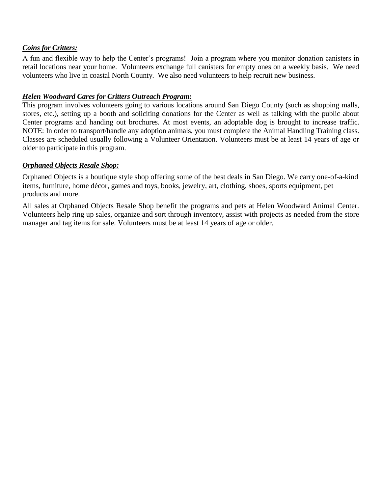#### *Coins for Critters:*

A fun and flexible way to help the Center's programs! Join a program where you monitor donation canisters in retail locations near your home. Volunteers exchange full canisters for empty ones on a weekly basis. We need volunteers who live in coastal North County. We also need volunteers to help recruit new business.

#### *Helen Woodward Cares for Critters Outreach Program:*

This program involves volunteers going to various locations around San Diego County (such as shopping malls, stores, etc.), setting up a booth and soliciting donations for the Center as well as talking with the public about Center programs and handing out brochures. At most events, an adoptable dog is brought to increase traffic. NOTE: In order to transport/handle any adoption animals, you must complete the Animal Handling Training class. Classes are scheduled usually following a Volunteer Orientation. Volunteers must be at least 14 years of age or older to participate in this program.

#### *Orphaned Objects Resale Shop:*

Orphaned Objects is a boutique style shop offering some of the best deals in San Diego. We carry one-of-a-kind items, furniture, home décor, games and toys, books, jewelry, art, clothing, shoes, sports equipment, pet products and more.

All sales at Orphaned Objects Resale Shop benefit the programs and pets at Helen Woodward Animal Center. Volunteers help ring up sales, organize and sort through inventory, assist with projects as needed from the store manager and tag items for sale. Volunteers must be at least 14 years of age or older.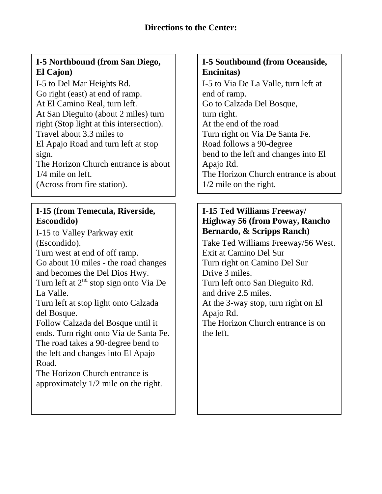# **I-5 Northbound (from San Diego, El Cajon)**

I-5 to Del Mar Heights Rd. Go right (east) at end of ramp. At El Camino Real, turn left. At San Dieguito (about 2 miles) turn right (Stop light at this intersection). Travel about 3.3 miles to El Apajo Road and turn left at stop sign.

The Horizon Church entrance is about 1/4 mile on left.

(Across from fire station).

## **I-15 (from Temecula, Riverside, Escondido)**

I-15 to Valley Parkway exit (Escondido).

Turn west at end of off ramp. Go about 10 miles - the road changes and becomes the Del Dios Hwy. Turn left at  $2<sup>nd</sup>$  stop sign onto Via De La Valle.

Turn left at stop light onto Calzada del Bosque.

Follow Calzada del Bosque until it ends. Turn right onto Via de Santa Fe. The road takes a 90-degree bend to the left and changes into El Apajo Road.

The Horizon Church entrance is approximately 1/2 mile on the right.

## **I-5 Southbound (from Oceanside, Encinitas)**

I-5 to Via De La Valle, turn left at end of ramp. Go to Calzada Del Bosque, turn right. At the end of the road Turn right on Via De Santa Fe. Road follows a 90-degree bend to the left and changes into El Apajo Rd. The Horizon Church entrance is about 1/2 mile on the right.

## **I-15 Ted Williams Freeway/ Highway 56 (from Poway, Rancho Bernardo, & Scripps Ranch)**

Take Ted Williams Freeway/56 West. Exit at Camino Del Sur Turn right on Camino Del Sur Drive 3 miles. Turn left onto San Dieguito Rd. and drive 2.5 miles. At the 3-way stop, turn right on El Apajo Rd. The Horizon Church entrance is on the left.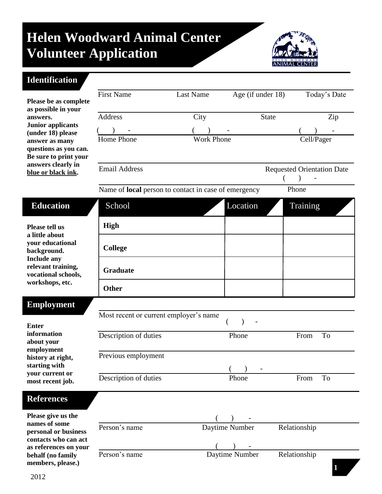# **Helen Woodward Animal Center Volunteer Application**



## **Identification**

**behalf (no family members, please.)**

|                                                                                                                                                           | <b>First Name</b>                                           | <b>Last Name</b>  | Age (if under 18) |                                   | Today's Date |
|-----------------------------------------------------------------------------------------------------------------------------------------------------------|-------------------------------------------------------------|-------------------|-------------------|-----------------------------------|--------------|
| Please be as complete                                                                                                                                     |                                                             |                   |                   |                                   |              |
| as possible in your<br>answers.                                                                                                                           | Address                                                     | City              | <b>State</b>      |                                   | Zip          |
| <b>Junior applicants</b>                                                                                                                                  |                                                             |                   |                   |                                   |              |
| (under 18) please<br>answer as many<br>questions as you can.<br>Be sure to print your                                                                     | Home Phone                                                  | <b>Work Phone</b> |                   | Cell/Pager                        |              |
| answers clearly in<br>blue or black ink.                                                                                                                  | <b>Email Address</b>                                        |                   |                   | <b>Requested Orientation Date</b> |              |
|                                                                                                                                                           | Name of <b>local</b> person to contact in case of emergency |                   |                   | Phone                             |              |
| <b>Education</b>                                                                                                                                          | School                                                      |                   | Location          | Training                          |              |
| Please tell us<br>a little about<br>your educational<br>background.<br><b>Include any</b><br>relevant training,<br>vocational schools,<br>workshops, etc. | High                                                        |                   |                   |                                   |              |
|                                                                                                                                                           | <b>College</b>                                              |                   |                   |                                   |              |
|                                                                                                                                                           | <b>Graduate</b>                                             |                   |                   |                                   |              |
|                                                                                                                                                           | <b>Other</b>                                                |                   |                   |                                   |              |
| <b>Employment</b>                                                                                                                                         |                                                             |                   |                   |                                   |              |
| <b>Enter</b><br>information<br>about your<br>employment<br>history at right,<br>starting with<br>your current or<br>most recent job.                      | Most recent or current employer's name                      |                   |                   |                                   |              |
|                                                                                                                                                           | Description of duties                                       |                   | Phone             | From                              | To           |
|                                                                                                                                                           | Previous employment                                         |                   | (                 |                                   |              |
|                                                                                                                                                           | Description of duties                                       |                   | Phone             | From                              | To           |
| <b>References</b>                                                                                                                                         |                                                             |                   |                   |                                   |              |
| Please give us the<br>names of some                                                                                                                       |                                                             |                   |                   |                                   |              |
| personal or business<br>contacts who can act                                                                                                              | Person's name                                               |                   | Daytime Number    | Relationship                      |              |
| as references on your<br>behalf (no family                                                                                                                | Person's name                                               |                   | Daytime Number    | Relationship                      |              |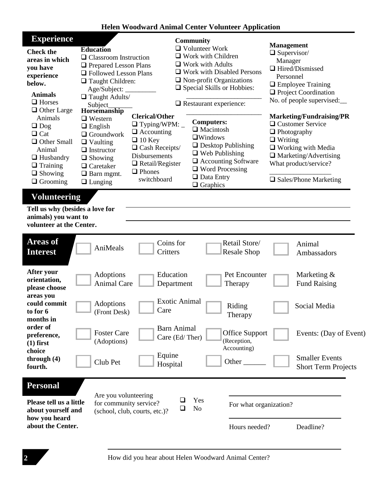### **Helen Woodward Animal Center Volunteer Application**

| <b>Experience</b><br><b>Check the</b><br>areas in which<br>you have<br>experience<br>below.<br><b>Animals</b><br>$\Box$ Horses<br>$\Box$ Other Large<br>Animals<br>$\Box$ Dog<br>$\Box$ Cat<br>$\Box$ Other Small<br>Animal<br>$\Box$ Husbandry<br>$\Box$ Training<br>$\Box$ Showing<br>$\Box$ Grooming | <b>Education</b><br>$\Box$ Classroom Instruction<br>$\Box$ Prepared Lesson Plans<br>□ Followed Lesson Plans<br>$\Box$ Taught Children:<br>Age/Subject:<br>$\Box$ Taught Adults/<br>Subject<br><b>Horsemanship</b><br><b>Clerical/Other</b><br>$\Box$ Western<br>$\Box$ Typing/WPM: $\_$<br>$\Box$ English<br>$\Box$ Accounting<br>$\Box$ Groundwork<br>$\Box$ 10 Key<br>$\Box$ Vaulting<br>$\Box$ Cash Receipts/<br>$\Box$ Instructor<br>Disbursements<br>$\Box$ Showing<br>$\Box$ Retail/Register<br>$\Box$ Caretaker<br>$\Box$ Phones<br>$\Box$ Barn mgmt.<br>switchboard<br>$\Box$ Lunging | <b>Community</b><br>$\Box$ Volunteer Work<br>$\Box$ Work with Children<br>$\Box$ Work with Adults<br>$\Box$ Work with Disabled Persons<br>$\Box$ Non-profit Organizations<br>□ Special Skills or Hobbies:<br>$\Box$ Restaurant experience:<br><b>Computers:</b><br>$\Box$ Macintosh<br>$\Box$ Windows<br>$\Box$ Desktop Publishing<br>$\Box$ Web Publishing<br>□ Accounting Software<br>$\Box$ Word Processing<br>$\Box$ Data Entry<br>$\Box$ Graphics | <b>Management</b><br>$\Box$ Supervisor/<br>Manager<br>$\Box$ Hired/Dismissed<br>Personnel<br>$\Box$ Employee Training<br>$\Box$ Project Coordination<br>No. of people supervised:<br>Marketing/Fundraising/PR<br>□ Customer Service<br>$\Box$ Photography<br>$\Box$ Writing<br>$\Box$ Working with Media<br>$\Box$ Marketing/Advertising<br>What product/service?<br>$\Box$ Sales/Phone Marketing |  |  |  |
|---------------------------------------------------------------------------------------------------------------------------------------------------------------------------------------------------------------------------------------------------------------------------------------------------------|-----------------------------------------------------------------------------------------------------------------------------------------------------------------------------------------------------------------------------------------------------------------------------------------------------------------------------------------------------------------------------------------------------------------------------------------------------------------------------------------------------------------------------------------------------------------------------------------------|--------------------------------------------------------------------------------------------------------------------------------------------------------------------------------------------------------------------------------------------------------------------------------------------------------------------------------------------------------------------------------------------------------------------------------------------------------|---------------------------------------------------------------------------------------------------------------------------------------------------------------------------------------------------------------------------------------------------------------------------------------------------------------------------------------------------------------------------------------------------|--|--|--|
| <b>Volunteering</b><br>Tell us why (besides a love for<br>animals) you want to<br>volunteer at the Center.                                                                                                                                                                                              |                                                                                                                                                                                                                                                                                                                                                                                                                                                                                                                                                                                               |                                                                                                                                                                                                                                                                                                                                                                                                                                                        |                                                                                                                                                                                                                                                                                                                                                                                                   |  |  |  |
| <b>Areas of</b><br><b>Interest</b>                                                                                                                                                                                                                                                                      | AniMeals                                                                                                                                                                                                                                                                                                                                                                                                                                                                                                                                                                                      | Retail Store/<br>Coins for<br>Critters<br><b>Resale Shop</b>                                                                                                                                                                                                                                                                                                                                                                                           | Animal<br>Ambassadors                                                                                                                                                                                                                                                                                                                                                                             |  |  |  |
| After your<br>orientation,<br>please choose                                                                                                                                                                                                                                                             | Adoptions<br><b>Animal Care</b>                                                                                                                                                                                                                                                                                                                                                                                                                                                                                                                                                               | Education<br>Pet Encounter<br>Therapy<br>Department                                                                                                                                                                                                                                                                                                                                                                                                    | Marketing &<br><b>Fund Raising</b>                                                                                                                                                                                                                                                                                                                                                                |  |  |  |
| areas you<br>could commit<br>to for 6<br>months in                                                                                                                                                                                                                                                      | Adoptions<br>Care<br>(Front Desk)                                                                                                                                                                                                                                                                                                                                                                                                                                                                                                                                                             | <b>Exotic Animal</b><br>Riding<br>Therapy                                                                                                                                                                                                                                                                                                                                                                                                              | Social Media                                                                                                                                                                                                                                                                                                                                                                                      |  |  |  |
| order of<br>preference,<br>$(1)$ first<br>choice                                                                                                                                                                                                                                                        | <b>Foster Care</b><br>(Adoptions)                                                                                                                                                                                                                                                                                                                                                                                                                                                                                                                                                             | <b>Barn Animal</b><br><b>Office Support</b><br>Care (Ed/Ther)<br>(Reception,<br>Accounting)                                                                                                                                                                                                                                                                                                                                                            | Events: (Day of Event)                                                                                                                                                                                                                                                                                                                                                                            |  |  |  |
| through $(4)$<br>fourth.                                                                                                                                                                                                                                                                                | Club Pet                                                                                                                                                                                                                                                                                                                                                                                                                                                                                                                                                                                      | Equine<br>Other<br>Hospital                                                                                                                                                                                                                                                                                                                                                                                                                            | <b>Smaller Events</b><br><b>Short Term Projects</b>                                                                                                                                                                                                                                                                                                                                               |  |  |  |
| <b>Personal</b><br>Please tell us a little<br>about yourself and                                                                                                                                                                                                                                        | Are you volunteering<br>for community service?<br>(school, club, courts, etc.)?                                                                                                                                                                                                                                                                                                                                                                                                                                                                                                               | Yes<br>N <sub>o</sub><br>⊔                                                                                                                                                                                                                                                                                                                                                                                                                             | For what organization?                                                                                                                                                                                                                                                                                                                                                                            |  |  |  |
| how you heard<br>about the Center.                                                                                                                                                                                                                                                                      |                                                                                                                                                                                                                                                                                                                                                                                                                                                                                                                                                                                               | Hours needed?                                                                                                                                                                                                                                                                                                                                                                                                                                          | Deadline?                                                                                                                                                                                                                                                                                                                                                                                         |  |  |  |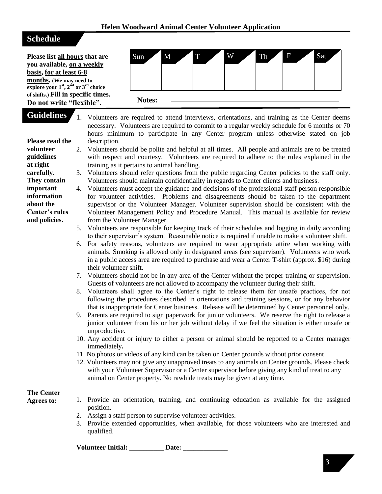## **Schedule**

**volunteer guidelines at right carefully. They contain important information about the Center's rules and policies.**

**Please list all hours that are you available, on a weekly basis, for at least 6-8 months. (We may need to explore your**  $1<sup>st</sup>$ **,**  $2<sup>nd</sup>$  **or**  $3<sup>rd</sup>$  **choice of shifts.) Fill in specific times. Do not write "flexible".** 



**Guidelines Please read the**  1. Volunteers are required to attend interviews, orientations, and training as the Center deems necessary. Volunteers are required to commit to a regular weekly schedule for 6 months or 70 hours minimum to participate in any Center program unless otherwise stated on job description.

- 2. Volunteers should be polite and helpful at all times. All people and animals are to be treated with respect and courtesy. Volunteers are required to adhere to the rules explained in the training as it pertains to animal handling.
	- 3. Volunteers should refer questions from the public regarding Center policies to the staff only. Volunteers should maintain confidentiality in regards to Center clients and business.
	- 4. Volunteers must accept the guidance and decisions of the professional staff person responsible for volunteer activities. Problems and disagreements should be taken to the department supervisor or the Volunteer Manager. Volunteer supervision should be consistent with the Volunteer Management Policy and Procedure Manual. This manual is available for review from the Volunteer Manager.
	- 5. Volunteers are responsible for keeping track of their schedules and logging in daily according to their supervisor's system. Reasonable notice is required if unable to make a volunteer shift.
	- 6. For safety reasons, volunteers are required to wear appropriate attire when working with animals. Smoking is allowed only in designated areas (see supervisor). Volunteers who work in a public access area are required to purchase and wear a Center T-shirt (approx. \$16) during their volunteer shift.
	- 7. Volunteers should not be in any area of the Center without the proper training or supervision. Guests of volunteers are not allowed to accompany the volunteer during their shift.
	- 8. Volunteers shall agree to the Center's right to release them for unsafe practices, for not following the procedures described in orientations and training sessions, or for any behavior that is inappropriate for Center business. Release will be determined by Center personnel only.
	- 9. Parents are required to sign paperwork for junior volunteers. We reserve the right to release a junior volunteer from his or her job without delay if we feel the situation is either unsafe or unproductive.
	- 10. Any accident or injury to either a person or animal should be reported to a Center manager immediately**.**
	- 11. No photos or videos of any kind can be taken on Center grounds without prior consent.
	- 12. Volunteers may not give any unapproved treats to any animals on Center grounds. Please check with your Volunteer Supervisor or a Center supervisor before giving any kind of treat to any animal on Center property. No rawhide treats may be given at any time.

# **The Center**

- **Agrees to:**
	- 1. Provide an orientation, training, and continuing education as available for the assigned position.
	- 2. Assign a staff person to supervise volunteer activities.
	- 3. Provide extended opportunities, when available, for those volunteers who are interested and qualified.

**Volunteer Initial: \_\_\_\_\_\_\_\_\_\_ Date: \_\_\_\_\_\_\_\_\_\_\_\_\_**